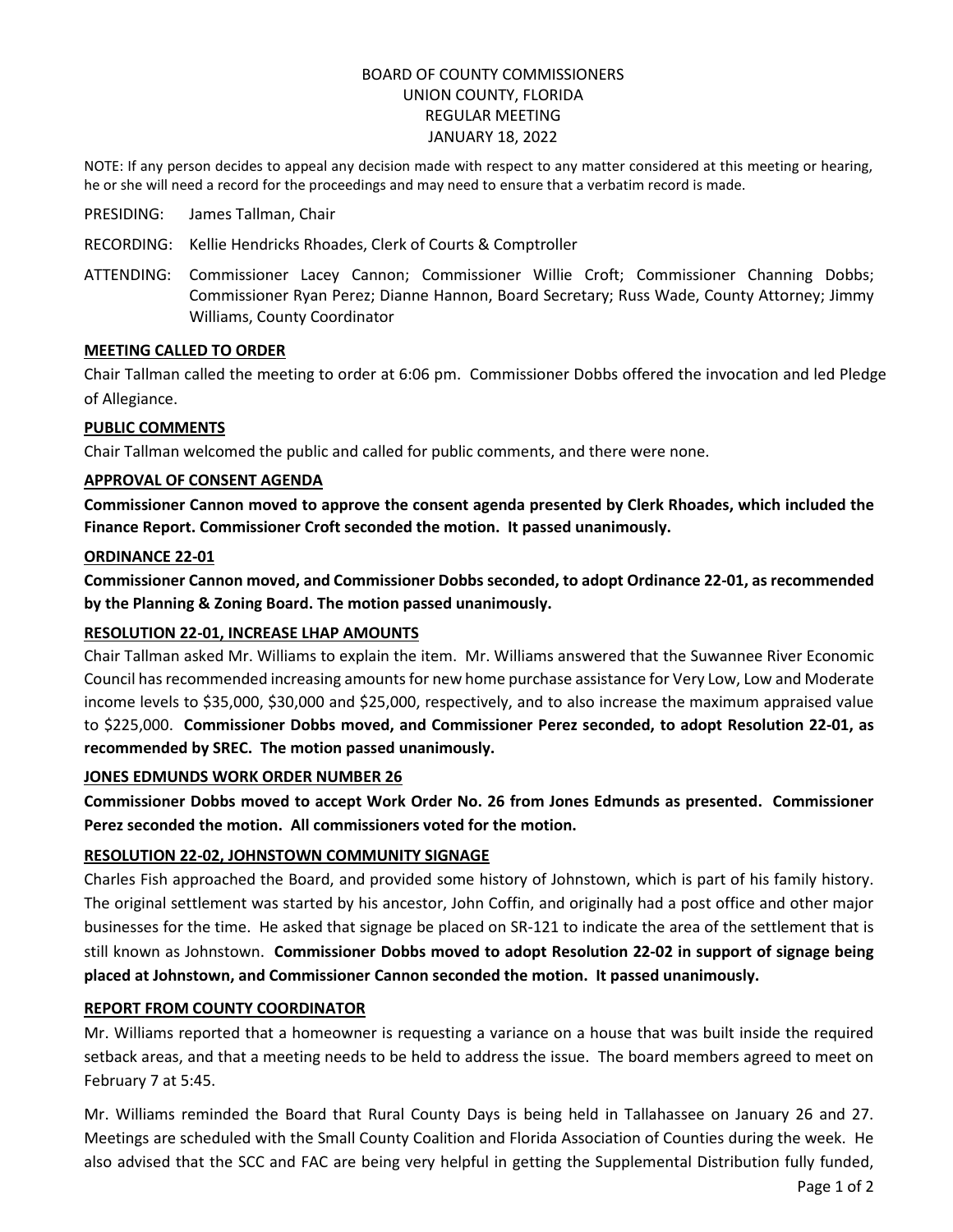# BOARD OF COUNTY COMMISSIONERS UNION COUNTY, FLORIDA REGULAR MEETING JANUARY 18, 2022

NOTE: If any person decides to appeal any decision made with respect to any matter considered at this meeting or hearing, he or she will need a record for the proceedings and may need to ensure that a verbatim record is made.

- PRESIDING: James Tallman, Chair
- RECORDING: Kellie Hendricks Rhoades, Clerk of Courts & Comptroller
- ATTENDING: Commissioner Lacey Cannon; Commissioner Willie Croft; Commissioner Channing Dobbs; Commissioner Ryan Perez; Dianne Hannon, Board Secretary; Russ Wade, County Attorney; Jimmy Williams, County Coordinator

#### **MEETING CALLED TO ORDER**

Chair Tallman called the meeting to order at 6:06 pm. Commissioner Dobbs offered the invocation and led Pledge of Allegiance.

## **PUBLIC COMMENTS**

Chair Tallman welcomed the public and called for public comments, and there were none.

#### **APPROVAL OF CONSENT AGENDA**

**Commissioner Cannon moved to approve the consent agenda presented by Clerk Rhoades, which included the Finance Report. Commissioner Croft seconded the motion. It passed unanimously.**

#### **ORDINANCE 22-01**

**Commissioner Cannon moved, and Commissioner Dobbs seconded, to adopt Ordinance 22-01, as recommended by the Planning & Zoning Board. The motion passed unanimously.**

## **RESOLUTION 22-01, INCREASE LHAP AMOUNTS**

Chair Tallman asked Mr. Williams to explain the item. Mr. Williams answered that the Suwannee River Economic Council has recommended increasing amounts for new home purchase assistance for Very Low, Low and Moderate income levels to \$35,000, \$30,000 and \$25,000, respectively, and to also increase the maximum appraised value to \$225,000. **Commissioner Dobbs moved, and Commissioner Perez seconded, to adopt Resolution 22-01, as recommended by SREC. The motion passed unanimously.**

## **JONES EDMUNDS WORK ORDER NUMBER 26**

**Commissioner Dobbs moved to accept Work Order No. 26 from Jones Edmunds as presented. Commissioner Perez seconded the motion. All commissioners voted for the motion.** 

## **RESOLUTION 22-02, JOHNSTOWN COMMUNITY SIGNAGE**

Charles Fish approached the Board, and provided some history of Johnstown, which is part of his family history. The original settlement was started by his ancestor, John Coffin, and originally had a post office and other major businesses for the time. He asked that signage be placed on SR-121 to indicate the area of the settlement that is still known as Johnstown. **Commissioner Dobbs moved to adopt Resolution 22-02 in support of signage being placed at Johnstown, and Commissioner Cannon seconded the motion. It passed unanimously.**

## **REPORT FROM COUNTY COORDINATOR**

Mr. Williams reported that a homeowner is requesting a variance on a house that was built inside the required setback areas, and that a meeting needs to be held to address the issue. The board members agreed to meet on February 7 at 5:45.

Mr. Williams reminded the Board that Rural County Days is being held in Tallahassee on January 26 and 27. Meetings are scheduled with the Small County Coalition and Florida Association of Counties during the week. He also advised that the SCC and FAC are being very helpful in getting the Supplemental Distribution fully funded,